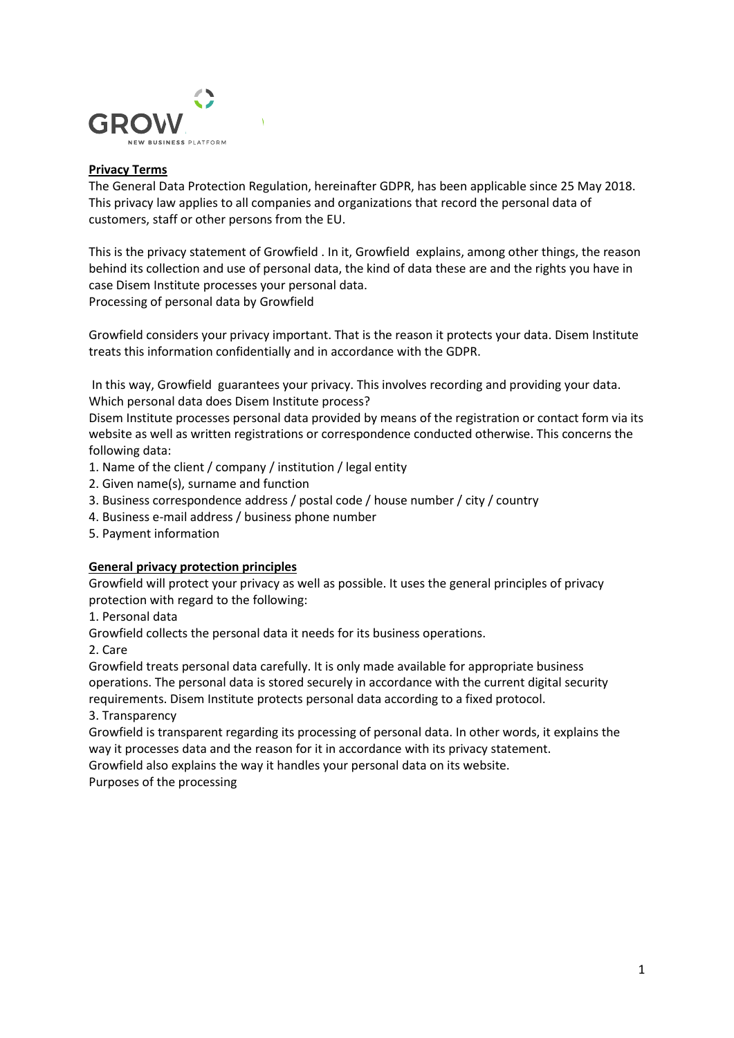

## **Privacy Terms**

The General Data Protection Regulation, hereinafter GDPR, has been applicable since 25 May 2018. This privacy law applies to all companies and organizations that record the personal data of customers, staff or other persons from the EU.

This is the privacy statement of Growfield . In it, Growfield explains, among other things, the reason behind its collection and use of personal data, the kind of data these are and the rights you have in case Disem Institute processes your personal data. Processing of personal data by Growfield

Growfield considers your privacy important. That is the reason it protects your data. Disem Institute treats this information confidentially and in accordance with the GDPR.

In this way, Growfield guarantees your privacy. This involves recording and providing your data. Which personal data does Disem Institute process?

Disem Institute processes personal data provided by means of the registration or contact form via its website as well as written registrations or correspondence conducted otherwise. This concerns the following data:

- 1. Name of the client / company / institution / legal entity
- 2. Given name(s), surname and function
- 3. Business correspondence address / postal code / house number / city / country
- 4. Business e-mail address / business phone number
- 5. Payment information

### **General privacy protection principles**

Growfield will protect your privacy as well as possible. It uses the general principles of privacy protection with regard to the following:

1. Personal data

Growfield collects the personal data it needs for its business operations.

2. Care

Growfield treats personal data carefully. It is only made available for appropriate business operations. The personal data is stored securely in accordance with the current digital security requirements. Disem Institute protects personal data according to a fixed protocol.

3. Transparency

Growfield is transparent regarding its processing of personal data. In other words, it explains the way it processes data and the reason for it in accordance with its privacy statement.

Growfield also explains the way it handles your personal data on its website.

Purposes of the processing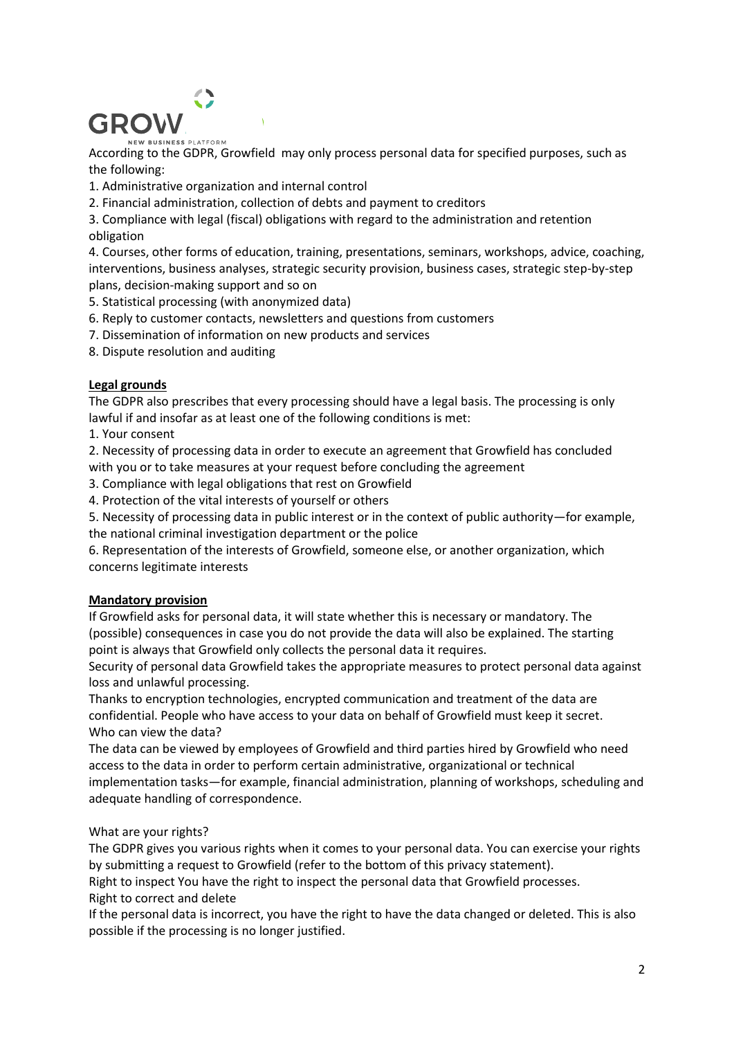

According to the GDPR, Growfield may only process personal data for specified purposes, such as the following:

- 1. Administrative organization and internal control
- 2. Financial administration, collection of debts and payment to creditors

3. Compliance with legal (fiscal) obligations with regard to the administration and retention obligation

4. Courses, other forms of education, training, presentations, seminars, workshops, advice, coaching, interventions, business analyses, strategic security provision, business cases, strategic step-by-step plans, decision-making support and so on

- 5. Statistical processing (with anonymized data)
- 6. Reply to customer contacts, newsletters and questions from customers
- 7. Dissemination of information on new products and services
- 8. Dispute resolution and auditing

### **Legal grounds**

The GDPR also prescribes that every processing should have a legal basis. The processing is only lawful if and insofar as at least one of the following conditions is met:

1. Your consent

2. Necessity of processing data in order to execute an agreement that Growfield has concluded with you or to take measures at your request before concluding the agreement

3. Compliance with legal obligations that rest on Growfield

4. Protection of the vital interests of yourself or others

5. Necessity of processing data in public interest or in the context of public authority—for example, the national criminal investigation department or the police

6. Representation of the interests of Growfield, someone else, or another organization, which concerns legitimate interests

### **Mandatory provision**

If Growfield asks for personal data, it will state whether this is necessary or mandatory. The (possible) consequences in case you do not provide the data will also be explained. The starting point is always that Growfield only collects the personal data it requires.

Security of personal data Growfield takes the appropriate measures to protect personal data against loss and unlawful processing.

Thanks to encryption technologies, encrypted communication and treatment of the data are confidential. People who have access to your data on behalf of Growfield must keep it secret. Who can view the data?

The data can be viewed by employees of Growfield and third parties hired by Growfield who need access to the data in order to perform certain administrative, organizational or technical implementation tasks—for example, financial administration, planning of workshops, scheduling and adequate handling of correspondence.

# What are your rights?

The GDPR gives you various rights when it comes to your personal data. You can exercise your rights by submitting a request to Growfield (refer to the bottom of this privacy statement).

Right to inspect You have the right to inspect the personal data that Growfield processes. Right to correct and delete

If the personal data is incorrect, you have the right to have the data changed or deleted. This is also possible if the processing is no longer justified.